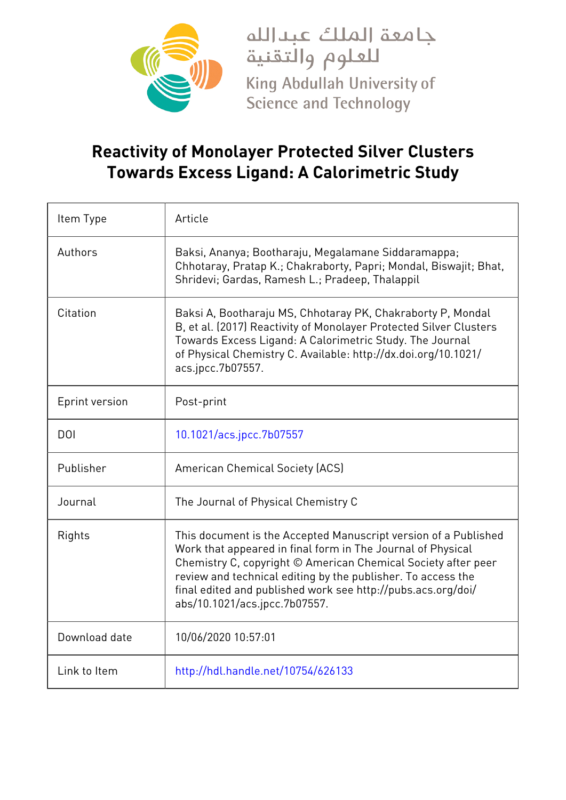

جامعة الملك عبدالله<br>للعلوم والتقنية King Abdullah University of Science and Technology

## **Reactivity of Monolayer Protected Silver Clusters Towards Excess Ligand: A Calorimetric Study**

| Item Type      | Article                                                                                                                                                                                                                                                                                                                                                          |
|----------------|------------------------------------------------------------------------------------------------------------------------------------------------------------------------------------------------------------------------------------------------------------------------------------------------------------------------------------------------------------------|
| Authors        | Baksi, Ananya; Bootharaju, Megalamane Siddaramappa;<br>Chhotaray, Pratap K.; Chakraborty, Papri; Mondal, Biswajit; Bhat,<br>Shridevi; Gardas, Ramesh L.; Pradeep, Thalappil                                                                                                                                                                                      |
| Citation       | Baksi A, Bootharaju MS, Chhotaray PK, Chakraborty P, Mondal<br>B, et al. (2017) Reactivity of Monolayer Protected Silver Clusters<br>Towards Excess Ligand: A Calorimetric Study. The Journal<br>of Physical Chemistry C. Available: http://dx.doi.org/10.1021/<br>acs.jpcc.7b07557.                                                                             |
| Eprint version | Post-print                                                                                                                                                                                                                                                                                                                                                       |
| <b>DOI</b>     | 10.1021/acs.jpcc.7b07557                                                                                                                                                                                                                                                                                                                                         |
| Publisher      | <b>American Chemical Society (ACS)</b>                                                                                                                                                                                                                                                                                                                           |
| Journal        | The Journal of Physical Chemistry C                                                                                                                                                                                                                                                                                                                              |
| Rights         | This document is the Accepted Manuscript version of a Published<br>Work that appeared in final form in The Journal of Physical<br>Chemistry C, copyright © American Chemical Society after peer<br>review and technical editing by the publisher. To access the<br>final edited and published work see http://pubs.acs.org/doi/<br>abs/10.1021/acs.jpcc.7b07557. |
| Download date  | 10/06/2020 10:57:01                                                                                                                                                                                                                                                                                                                                              |
| Link to Item   | http://hdl.handle.net/10754/626133                                                                                                                                                                                                                                                                                                                               |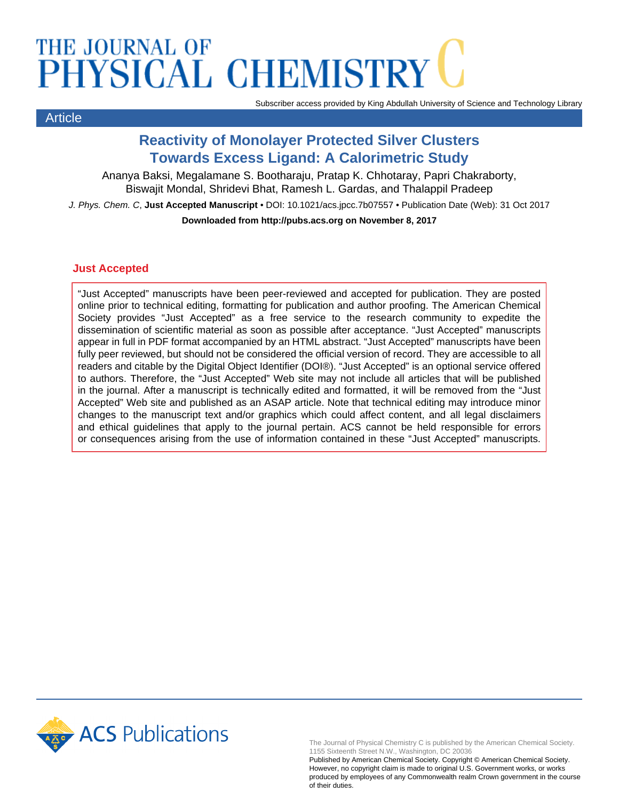# THE JOURNAL OF PHYSICAL CHEMISTRY

Article

Subscriber access provided by King Abdullah University of Science and Technology Library

### **Reactivity of Monolayer Protected Silver Clusters Towards Excess Ligand: A Calorimetric Study**

Ananya Baksi, Megalamane S. Bootharaju, Pratap K. Chhotaray, Papri Chakraborty, Biswajit Mondal, Shridevi Bhat, Ramesh L. Gardas, and Thalappil Pradeep J. Phys. Chem. C, **Just Accepted Manuscript** • DOI: 10.1021/acs.jpcc.7b07557 • Publication Date (Web): 31 Oct 2017

**Downloaded from http://pubs.acs.org on November 8, 2017**

#### **Just Accepted**

"Just Accepted" manuscripts have been peer-reviewed and accepted for publication. They are posted online prior to technical editing, formatting for publication and author proofing. The American Chemical Society provides "Just Accepted" as a free service to the research community to expedite the dissemination of scientific material as soon as possible after acceptance. "Just Accepted" manuscripts appear in full in PDF format accompanied by an HTML abstract. "Just Accepted" manuscripts have been fully peer reviewed, but should not be considered the official version of record. They are accessible to all readers and citable by the Digital Object Identifier (DOI®). "Just Accepted" is an optional service offered to authors. Therefore, the "Just Accepted" Web site may not include all articles that will be published in the journal. After a manuscript is technically edited and formatted, it will be removed from the "Just Accepted" Web site and published as an ASAP article. Note that technical editing may introduce minor changes to the manuscript text and/or graphics which could affect content, and all legal disclaimers and ethical guidelines that apply to the journal pertain. ACS cannot be held responsible for errors or consequences arising from the use of information contained in these "Just Accepted" manuscripts.



The Journal of Physical Chemistry C is published by the American Chemical Society. 1155 Sixteenth Street N.W., Washington, DC 20036

Published by American Chemical Society. Copyright © American Chemical Society. However, no copyright claim is made to original U.S. Government works, or works produced by employees of any Commonwealth realm Crown government in the course of their duties.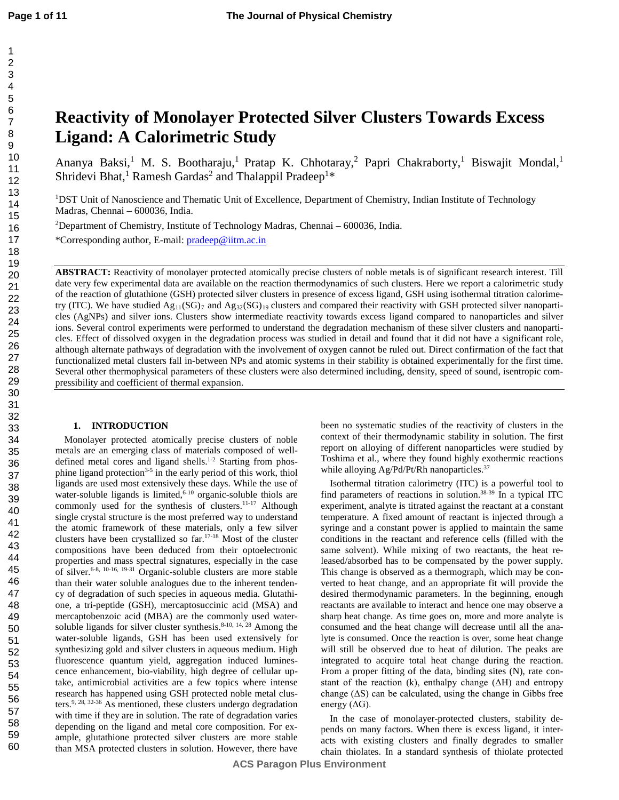## **Reactivity of Monolayer Protected Silver Clusters Towards Excess Ligand: A Calorimetric Study**

Ananya Baksi,<sup>1</sup> M. S. Bootharaju,<sup>1</sup> Pratap K. Chhotaray,<sup>2</sup> Papri Chakraborty,<sup>1</sup> Biswajit Mondal,<sup>1</sup> Shridevi Bhat,<sup>1</sup> Ramesh Gardas<sup>2</sup> and Thalappil Pradeep<sup>1\*</sup>

<sup>1</sup>DST Unit of Nanoscience and Thematic Unit of Excellence, Department of Chemistry, Indian Institute of Technology Madras, Chennai – 600036, India.

2 Department of Chemistry, Institute of Technology Madras, Chennai – 600036, India.

\*Corresponding author, E-mail[: pradeep@iitm.ac.in](mailto:pradeep@iitm.ac.in)

**ABSTRACT:** Reactivity of monolayer protected atomically precise clusters of noble metals is of significant research interest. Till date very few experimental data are available on the reaction thermodynamics of such clusters. Here we report a calorimetric study of the reaction of glutathione (GSH) protected silver clusters in presence of excess ligand, GSH using isothermal titration calorimetry (ITC). We have studied  $Ag_{11}(SG)$ <sub>7</sub> and  $Ag_{32}(SG)_{19}$  clusters and compared their reactivity with GSH protected silver nanoparticles (AgNPs) and silver ions. Clusters show intermediate reactivity towards excess ligand compared to nanoparticles and silver ions. Several control experiments were performed to understand the degradation mechanism of these silver clusters and nanoparticles. Effect of dissolved oxygen in the degradation process was studied in detail and found that it did not have a significant role, although alternate pathways of degradation with the involvement of oxygen cannot be ruled out. Direct confirmation of the fact that functionalized metal clusters fall in-between NPs and atomic systems in their stability is obtained experimentally for the first time. Several other thermophysical parameters of these clusters were also determined including, density, speed of sound, isentropic compressibility and coefficient of thermal expansion.

#### **1. INTRODUCTION**

Monolayer protected atomically precise clusters of noble metals are an emerging class of materials composed of welldefined metal cores and ligand shells.<sup>1-2</sup> Starting from phosphine ligand protection<sup>3-5</sup> in the early period of this work, thiol ligands are used most extensively these days. While the use of water-soluble ligands is limited, $6-10$  organic-soluble thiols are commonly used for the synthesis of clusters.<sup>11-17</sup> Although single crystal structure is the most preferred way to understand the atomic framework of these materials, only a few silver clusters have been crystallized so far[.17-18](#page-10-4) Most of the cluster compositions have been deduced from their optoelectronic properties and mass spectral signatures, especially in the case of silver.<sup>6-8, [10-16,](#page-10-5) [19-31](#page-11-0)</sup> Organic-soluble clusters are more stable than their water soluble analogues due to the inherent tendency of degradation of such species in aqueous media. Glutathione, a tri-peptide (GSH), mercaptosuccinic acid (MSA) and mercaptobenzoic acid (MBA) are the commonly used water-soluble ligands for silver cluster synthesis.<sup>8-10, [14,](#page-10-7) [28](#page-11-1)</sup> Among the water-soluble ligands, GSH has been used extensively for synthesizing gold and silver clusters in aqueous medium. High fluorescence quantum yield, aggregation induced luminescence enhancement, bio-viability, high degree of cellular uptake, antimicrobial activities are a few topics where intense research has happened using GSH protected noble metal clusters[.9,](#page-10-8) [28,](#page-11-1) [32-36](#page-11-2) As mentioned, these clusters undergo degradation with time if they are in solution. The rate of degradation varies depending on the ligand and metal core composition. For example, glutathione protected silver clusters are more stable than MSA protected clusters in solution. However, there have

been no systematic studies of the reactivity of clusters in the context of their thermodynamic stability in solution. The first report on alloying of different nanoparticles were studied by Toshima et al., where they found highly exothermic reactions while alloying Ag/Pd/Pt/Rh nanoparticles.<sup>37</sup>

Isothermal titration calorimetry (ITC) is a powerful tool to find parameters of reactions in solution.<sup>38-39</sup> In a typical ITC experiment, analyte is titrated against the reactant at a constant temperature. A fixed amount of reactant is injected through a syringe and a constant power is applied to maintain the same conditions in the reactant and reference cells (filled with the same solvent). While mixing of two reactants, the heat released/absorbed has to be compensated by the power supply. This change is observed as a thermograph, which may be converted to heat change, and an appropriate fit will provide the desired thermodynamic parameters. In the beginning, enough reactants are available to interact and hence one may observe a sharp heat change. As time goes on, more and more analyte is consumed and the heat change will decrease until all the analyte is consumed. Once the reaction is over, some heat change will still be observed due to heat of dilution. The peaks are integrated to acquire total heat change during the reaction. From a proper fitting of the data, binding sites (N), rate constant of the reaction (k), enthalpy change  $(ΔH)$  and entropy change  $(\Delta S)$  can be calculated, using the change in Gibbs free energy (ΔG).

In the case of monolayer-protected clusters, stability depends on many factors. When there is excess ligand, it interacts with existing clusters and finally degrades to smaller chain thiolates. In a standard synthesis of thiolate protected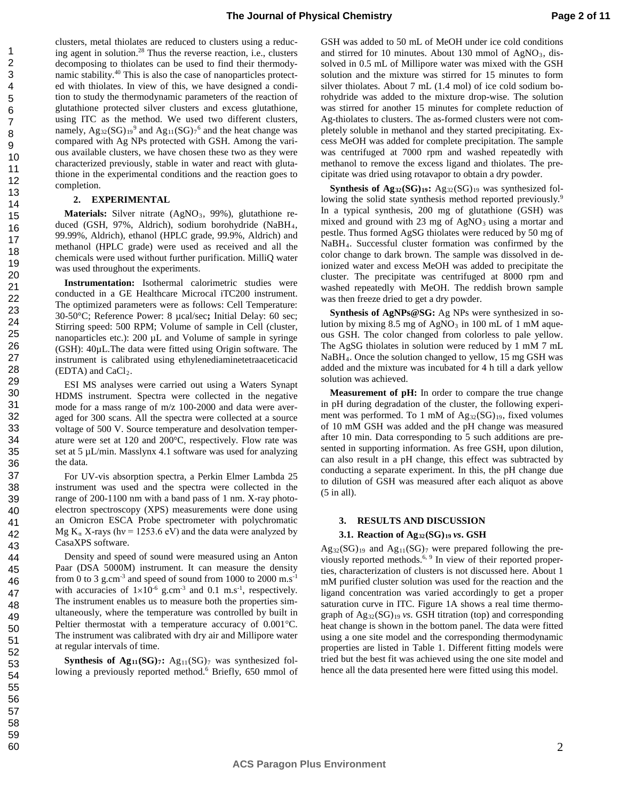clusters, metal thiolates are reduced to clusters using a reducing agent in solutio[n.28](#page-11-1) Thus the reverse reaction, i.e., clusters decomposing to thiolates can be used to find their thermodynamic stabilit[y.40](#page-11-5) This is also the case of nanoparticles protected with thiolates. In view of this, we have designed a condition to study the thermodynamic parameters of the reaction of glutathione protected silver clusters and excess glutathione, using ITC as the method. We used two different clusters, namely,  $Ag_{32}(SG)_{19}^9$  and  $Ag_{11}(SG)_{7}^6$  $Ag_{11}(SG)_{7}^6$  and the heat change was compared with Ag NPs protected with GSH. Among the various available clusters, we have chosen these two as they were characterized previously, stable in water and react with glutathione in the experimental conditions and the reaction goes to completion.

#### **2. EXPERIMENTAL**

Materials: Silver nitrate (AgNO<sub>3</sub>, 99%), glutathione reduced (GSH, 97%, Aldrich), sodium borohydride (NaBH4, 99.99%, Aldrich), ethanol (HPLC grade, 99.9%, Aldrich) and methanol (HPLC grade) were used as received and all the chemicals were used without further purification. MilliQ water was used throughout the experiments.

**Instrumentation:** Isothermal calorimetric studies were conducted in a GE Healthcare Microcal iTC200 instrument. The optimized parameters were as follows: Cell Temperature: 30-50°C; Reference Power: 8 µcal/sec**;** Initial Delay: 60 sec; Stirring speed: 500 RPM; Volume of sample in Cell (cluster, nanoparticles etc.):  $200 \mu L$  and Volume of sample in syringe (GSH): 40µL.The data were fitted using Origin software. The instrument is calibrated using ethylenediaminetetraaceticacid  $(EDTA)$  and  $CaCl<sub>2</sub>$ .

ESI MS analyses were carried out using a Waters Synapt HDMS instrument. Spectra were collected in the negative mode for a mass range of m/z 100-2000 and data were averaged for 300 scans. All the spectra were collected at a source voltage of 500 V. Source temperature and desolvation temperature were set at 120 and 200°C, respectively. Flow rate was set at 5 µL/min. Masslynx 4.1 software was used for analyzing the data.

For UV-vis absorption spectra, a Perkin Elmer Lambda 25 instrument was used and the spectra were collected in the range of 200-1100 nm with a band pass of 1 nm. X-ray photoelectron spectroscopy (XPS) measurements were done using an Omicron ESCA Probe spectrometer with polychromatic Mg  $K_\alpha$  X-rays (hv = 1253.6 eV) and the data were analyzed by CasaXPS software.

Density and speed of sound were measured using an Anton Paar (DSA 5000M) instrument. It can measure the density from 0 to 3 g.cm<sup>-3</sup> and speed of sound from 1000 to 2000 m.s<sup>-1</sup> with accuracies of  $1 \times 10^{-6}$  g.cm<sup>-3</sup> and 0.1 m.s<sup>-1</sup>, respectively. The instrument enables us to measure both the properties simultaneously, where the temperature was controlled by built in Peltier thermostat with a temperature accuracy of 0.001°C. The instrument was calibrated with dry air and Millipore water at regular intervals of time.

**Synthesis of Ag<sub>11</sub>(SG)<sub>7</sub>:** Ag<sub>11</sub>(SG)<sub>7</sub> was synthesized following a previously reported method.<sup>6</sup> Briefly, 650 mmol of

GSH was added to 50 mL of MeOH under ice cold conditions and stirred for 10 minutes. About 130 mmol of  $AgNO<sub>3</sub>$ , dissolved in 0.5 mL of Millipore water was mixed with the GSH solution and the mixture was stirred for 15 minutes to form silver thiolates. About 7 mL (1.4 mol) of ice cold sodium borohydride was added to the mixture drop-wise. The solution was stirred for another 15 minutes for complete reduction of Ag-thiolates to clusters. The as-formed clusters were not completely soluble in methanol and they started precipitating. Excess MeOH was added for complete precipitation. The sample was centrifuged at 7000 rpm and washed repeatedly with methanol to remove the excess ligand and thiolates. The precipitate was dried using rotavapor to obtain a dry powder.

Synthesis of Ag<sub>32</sub>(SG)<sub>19</sub>: Ag<sub>32</sub>(SG)<sub>19</sub> was synthesized following the solid state synthesis method reported previously.<sup>9</sup> In a typical synthesis, 200 mg of glutathione (GSH) was mixed and ground with  $23 \text{ mg}$  of AgNO<sub>3</sub> using a mortar and pestle. Thus formed AgSG thiolates were reduced by 50 mg of NaBH4. Successful cluster formation was confirmed by the color change to dark brown. The sample was dissolved in deionized water and excess MeOH was added to precipitate the cluster. The precipitate was centrifuged at 8000 rpm and washed repeatedly with MeOH. The reddish brown sample was then freeze dried to get a dry powder.

**Synthesis of AgNPs@SG:** Ag NPs were synthesized in solution by mixing  $8.5 \text{ mg}$  of AgNO<sub>3</sub> in 100 mL of 1 mM aqueous GSH. The color changed from colorless to pale yellow. The AgSG thiolates in solution were reduced by 1 mM 7 mL NaBH4. Once the solution changed to yellow, 15 mg GSH was added and the mixture was incubated for 4 h till a dark yellow solution was achieved.

**Measurement of pH:** In order to compare the true change in pH during degradation of the cluster, the following experiment was performed. To 1 mM of  $Ag_{32}(SG)_{19}$ , fixed volumes of 10 mM GSH was added and the pH change was measured after 10 min. Data corresponding to 5 such additions are presented in supporting information. As free GSH, upon dilution, can also result in a pH change, this effect was subtracted by conducting a separate experiment. In this, the pH change due to dilution of GSH was measured after each aliquot as above (5 in all).

#### **3. RESULTS AND DISCUSSION**

#### **3.1. Reaction of Ag32(SG)19** *vs***. GSH**

 $Ag_{32}(SG)_{19}$  and  $Ag_{11}(SG)_{7}$  were prepared following the pre-viously reported methods.<sup>6, [9](#page-10-8)</sup> In view of their reported properties, characterization of clusters is not discussed here. About 1 mM purified cluster solution was used for the reaction and the ligand concentration was varied accordingly to get a proper saturation curve in ITC. Figure 1A shows a real time thermograph of Ag32(SG)19 *vs.* GSH titration (top) and corresponding heat change is shown in the bottom panel. The data were fitted using a one site model and the corresponding thermodynamic properties are listed in Table 1. Different fitting models were tried but the best fit was achieved using the one site model and hence all the data presented here were fitted using this model.

1 2 3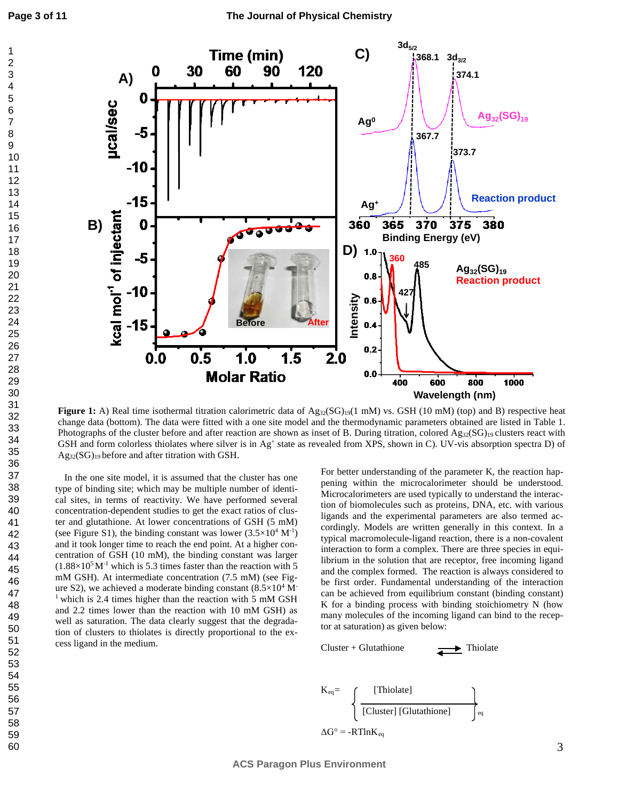

**Figure 1:** A) Real time isothermal titration calorimetric data of  $Ag_{32}(SG)_{19}(1 \text{ mM})$  vs. GSH (10 mM) (top) and B) respective heat change data (bottom). The data were fitted with a one site model and the thermodynamic parameters obtained are listed in Table 1. Photographs of the cluster before and after reaction are shown as inset of B. During titration, colored Ag<sub>32</sub>(SG)<sub>19</sub> clusters react with GSH and form colorless thiolates where silver is in  $Ag^+$  state as revealed from XPS, shown in C). UV-vis absorption spectra D) of Ag32(SG)19 before and after titration with GSH.

In the one site model, it is assumed that the cluster has one type of binding site; which may be multiple number of identical sites, in terms of reactivity. We have performed several concentration-dependent studies to get the exact ratios of cluster and glutathione. At lower concentrations of GSH (5 mM) (see Figure S1), the binding constant was lower  $(3.5 \times 10^4 \text{ M}^{-1})$ and it took longer time to reach the end point. At a higher concentration of GSH (10 mM), the binding constant was larger  $(1.88\times10^5 \,\mathrm{M}^{-1})$  which is 5.3 times faster than the reaction with 5 mM GSH). At intermediate concentration (7.5 mM) (see Figure S2), we achieved a moderate binding constant  $(8.5\times10^{4} \text{ M}^{-})$ <sup>1</sup> which is 2.4 times higher than the reaction with 5 mM GSH and 2.2 times lower than the reaction with 10 mM GSH) as well as saturation. The data clearly suggest that the degradation of clusters to thiolates is directly proportional to the excess ligand in the medium.

For better understanding of the parameter K, the reaction happening within the microcalorimeter should be understood. Microcalorimeters are used typically to understand the interaction of biomolecules such as proteins, DNA, etc. with various ligands and the experimental parameters are also termed accordingly. Models are written generally in this context. In a typical macromolecule-ligand reaction, there is a non-covalent interaction to form a complex. There are three species in equilibrium in the solution that are receptor, free incoming ligand and the complex formed. The reaction is always considered to be first order. Fundamental understanding of the interaction can be achieved from equilibrium constant (binding constant) K for a binding process with binding stoichiometry N (how many molecules of the incoming ligand can bind to the receptor at saturation) as given below:



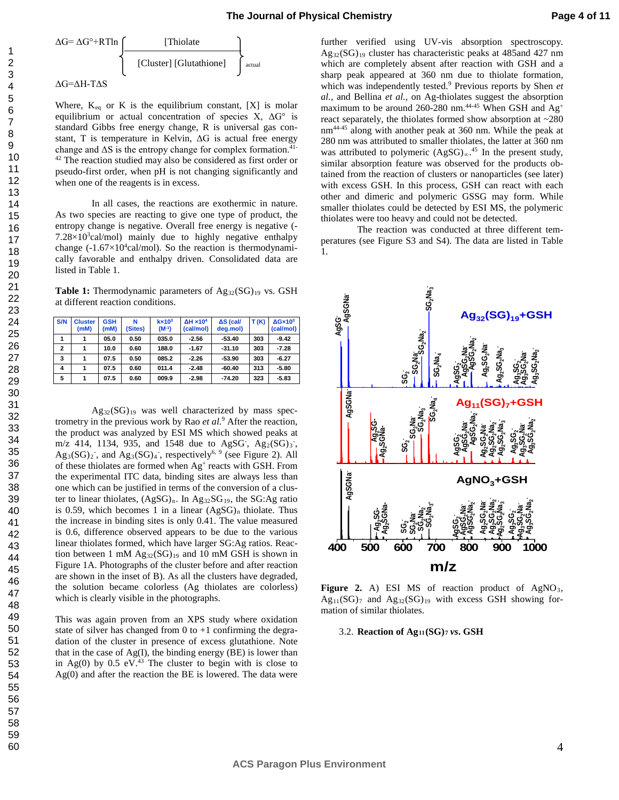

ΔG=ΔH-TΔS

Where,  $K_{eq}$  or K is the equilibrium constant, [X] is molar equilibrium or actual concentration of species  $X$ ,  $\Delta G^{\circ}$  is standard Gibbs free energy change, R is universal gas constant, T is temperature in Kelvin,  $\Delta G$  is actual free energy change and  $\Delta S$  is the entropy change for complex formation.<sup>41-</sup> <sup>42</sup> The reaction studied may also be considered as first order or pseudo-first order, when pH is not changing significantly and when one of the reagents is in excess.

In all cases, the reactions are exothermic in nature. As two species are reacting to give one type of product, the entropy change is negative. Overall free energy is negative (-  $7.28 \times 10^3$ cal/mol) mainly due to highly negative enthalpy change  $(-1.67\times10^{4}$ cal/mol). So the reaction is thermodynamically favorable and enthalpy driven. Consolidated data are listed in Table 1.

**Table 1:** Thermodynamic parameters of Ag<sub>32</sub>(SG)<sub>19</sub> vs. GSH at different reaction conditions.

| S/N | <b>Cluster</b><br>(mM) | <b>GSH</b><br>(mM) | N<br>(Sites) | $k \times 10^3$<br>$(M-1)$ | $\Delta H \times 10^4$<br>(cal/mol) | $\Delta S$ (cal/<br>deg.mol) | T(K) | $\Delta$ Gx10 <sup>3</sup><br>(cal/mol) |
|-----|------------------------|--------------------|--------------|----------------------------|-------------------------------------|------------------------------|------|-----------------------------------------|
|     |                        | 05.0               | 0.50         | 035.0                      | $-2.56$                             | $-53.40$                     | 303  | $-9.42$                                 |
| 2   |                        | 10.0               | 0.60         | 188.0                      | $-1.67$                             | $-31.10$                     | 303  | $-7.28$                                 |
| 3   |                        | 07.5               | 0.50         | 085.2                      | $-2.26$                             | $-53.90$                     | 303  | $-6.27$                                 |
| 4   |                        | 07.5               | 0.60         | 011.4                      | $-2.48$                             | $-60.40$                     | 313  | $-5.80$                                 |
| 5   |                        | 07.5               | 0.60         | 009.9                      | $-2.98$                             | $-74.20$                     | 323  | $-5.83$                                 |

 $Ag_{32}(SG)_{19}$  was well characterized by mass spectrometry in the previous work by Rao *et a[l.](#page-10-8)*<sup>9</sup> After the reaction, the product was analyzed by ESI MS which showed peaks at m/z 414, 1134, 935, and 1548 due to AgSG,  $Ag_2(SG)_3$ ,  $Ag_3(SG)_2$ , and  $Ag_3(SG)_4$ , respectively<sup>6, [9](#page-10-8)</sup> (see Figure 2). All of these thiolates are formed when Ag<sup>+</sup> reacts with GSH. From the experimental ITC data, binding sites are always less than one which can be justified in terms of the conversion of a cluster to linear thiolates,  $(AgSG)_n$ . In  $Ag_{32}SG_{19}$ , the SG:Ag ratio is 0.59, which becomes 1 in a linear  $(AgSG)_n$  thiolate. Thus the increase in binding sites is only 0.41. The value measured is 0.6, difference observed appears to be due to the various linear thiolates formed, which have larger SG:Ag ratios. Reaction between 1 mM  $Ag_{32}(SG)_{19}$  and 10 mM GSH is shown in Figure 1A. Photographs of the cluster before and after reaction are shown in the inset of B). As all the clusters have degraded, the solution became colorless (Ag thiolates are colorless) which is clearly visible in the photographs.

This was again proven from an XPS study where oxidation state of silver has changed from  $0$  to  $+1$  confirming the degradation of the cluster in presence of excess glutathione. Note that in the case of Ag(I), the binding energy (BE) is lower than in Ag(0) by  $0.5$  eV.<sup>43</sup> The cluster to begin with is close to Ag(0) and after the reaction the BE is lowered. The data were

further verified using UV-vis absorption spectroscopy.  $Ag_{32}(SG)_{19}$  cluster has characteristic peaks at 485 and 427 nm which are completely absent after reaction with GSH and a sharp peak appeared at 360 nm due to thiolate formation, which was independently teste[d.9](#page-10-8) Previous reports by Shen *et al.,* and Bellina *et al.,* on Ag-thiolates suggest the absorption maximum to be around 260-280 nm.<sup>[44-45](#page-11-8)</sup> When GSH and  $Ag^+$ react separately, the thiolates formed show absorption at ~280 nm<sup>44-45</sup> along with another peak at 360 nm. While the peak at 280 nm was attributed to smaller thiolates, the latter at 360 nm was attributed to polymeric  $(AgSG)_\infty$ .<sup>[45](#page-11-9)</sup> In the present study, similar absorption feature was observed for the products obtained from the reaction of clusters or nanoparticles (see later) with excess GSH. In this process, GSH can react with each other and dimeric and polymeric GSSG may form. While smaller thiolates could be detected by ESI MS, the polymeric thiolates were too heavy and could not be detected.

The reaction was conducted at three different temperatures (see Figure S3 and S4). The data are listed in Table 1.



**Figure 2.** A) ESI MS of reaction product of  $AgNO<sub>3</sub>$ ,  $Ag_{11}(SG)$ <sub>7</sub> and  $Ag_{32}(SG)_{19}$  with excess GSH showing formation of similar thiolates.

#### 3.2. **Reaction of Ag11(SG)7** *vs***. GSH**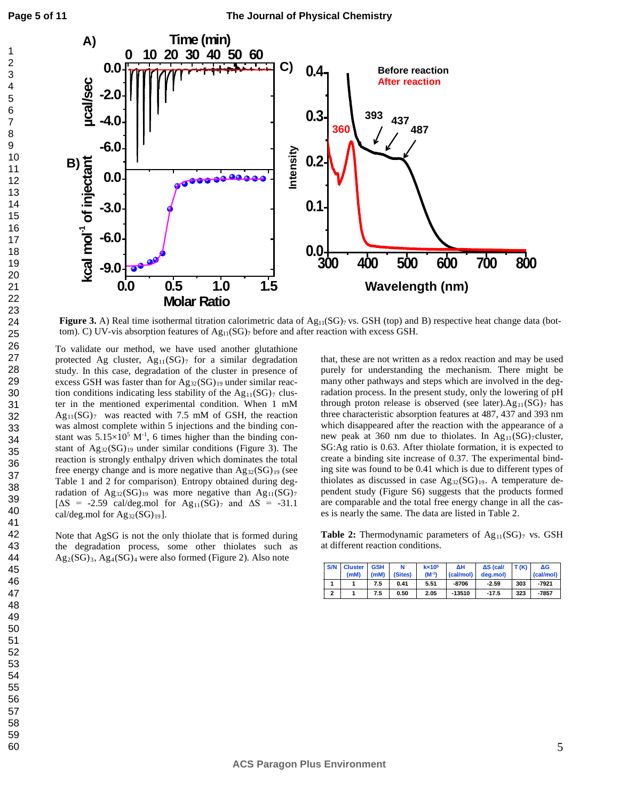

**Figure 3.** A) Real time isothermal titration calorimetric data of  $A_{g11}(SG)$ <sub>7</sub> vs. GSH (top) and B) respective heat change data (bottom). C) UV-vis absorption features of  $Ag<sub>11</sub>(SG)<sub>7</sub>$  before and after reaction with excess GSH.

To validate our method, we have used another glutathione protected Ag cluster,  $Ag_{11}(SG)$ <sub>7</sub> for a similar degradation study. In this case, degradation of the cluster in presence of excess GSH was faster than for  $Ag_{32}(SG)_{19}$  under similar reaction conditions indicating less stability of the  $Ag_{11}(SG)$ <sub>7</sub> cluster in the mentioned experimental condition. When 1 mM  $Ag_{11}(SG)<sub>7</sub>$  was reacted with 7.5 mM of GSH, the reaction was almost complete within 5 injections and the binding constant was  $5.15 \times 10^5$  M<sup>-1</sup>, 6 times higher than the binding constant of  $Ag_{32}(SG)_{19}$  under similar conditions (Figure 3). The reaction is strongly enthalpy driven which dominates the total free energy change and is more negative than  $Ag_{32}(SG)_{19}$  (see Table 1 and 2 for comparison). Entropy obtained during degradation of Ag<sub>32</sub>(SG)<sub>19</sub> was more negative than Ag<sub>11</sub>(SG)<sub>7</sub>  $[\Delta S = -2.59 \text{ cal/deg.mol} \text{ for } Ag_{11}(SG)_7 \text{ and } \Delta S = -31.1$ cal/deg.mol for  $Ag_{32}(SG)_{19}$ ].

Note that AgSG is not the only thiolate that is formed during the degradation process, some other thiolates such as  $Ag_2(SG)_3$ ,  $Ag_4(SG)_4$  were also formed (Figure 2). Also note

that, these are not written as a redox reaction and may be used purely for understanding the mechanism. There might be many other pathways and steps which are involved in the degradation process. In the present study, only the lowering of pH through proton release is observed (see later). $Ag_{11}(SG)$ <sub>7</sub> has three characteristic absorption features at 487, 437 and 393 nm which disappeared after the reaction with the appearance of a new peak at 360 nm due to thiolates. In  $\text{Ag}_{11}(\text{SG})_7 \text{cluster}$ , SG:Ag ratio is 0.63. After thiolate formation, it is expected to create a binding site increase of 0.37. The experimental binding site was found to be 0.41 which is due to different types of thiolates as discussed in case  $Ag_{32}(SG)_{19}$ . A temperature dependent study (Figure S6) suggests that the products formed are comparable and the total free energy change in all the cases is nearly the same. The data are listed in Table 2.

**Table 2:** Thermodynamic parameters of  $Ag_{11}(SG)$ <sub>7</sub> vs. GSH at different reaction conditions.

| S/N | <b>Cluster</b><br>(mM) | <b>GSH</b><br>(mM) | (Sites) | $k \times 10^5$<br>$(M^{-1})$ | ΔH<br>(cal/mol) | $\Delta S$ (cal/<br>dea.mol) | T(K) | ΔG<br>(cal/mol) |
|-----|------------------------|--------------------|---------|-------------------------------|-----------------|------------------------------|------|-----------------|
|     |                        | 7.5                | 0.41    | 5.51                          | -8706           | $-2.59$                      | 303  | -7921           |
|     |                        | 7.5                | 0.50    | 2.05                          | $-13510$        | $-17.5$                      | 323  | -7857           |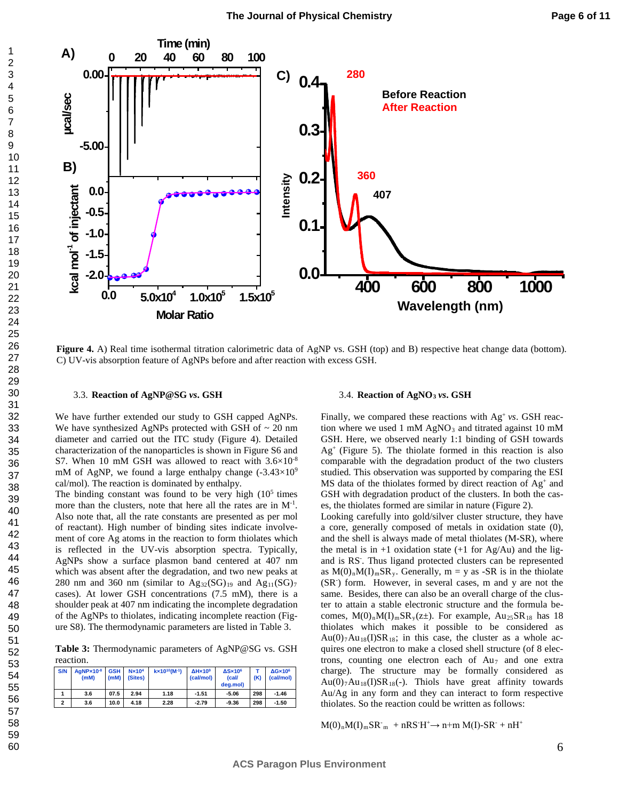

**Figure 4.** A) Real time isothermal titration calorimetric data of AgNP vs. GSH (top) and B) respective heat change data (bottom). C) UV-vis absorption feature of AgNPs before and after reaction with excess GSH.

#### 3.3. **Reaction of AgNP@SG** *vs***. GSH**

We have further extended our study to GSH capped AgNPs. We have synthesized AgNPs protected with GSH of  $\sim$  20 nm diameter and carried out the ITC study (Figure 4). Detailed characterization of the nanoparticles is shown in Figure S6 and S7. When 10 mM GSH was allowed to react with  $3.6\times10^{-8}$ mM of AgNP, we found a large enthalpy change  $(-3.43\times10^{9}$ cal/mol). The reaction is dominated by enthalpy.

The binding constant was found to be very high  $(10<sup>5</sup>$  times more than the clusters, note that here all the rates are in  $M<sup>-1</sup>$ . Also note that, all the rate constants are presented as per mol of reactant). High number of binding sites indicate involvement of core Ag atoms in the reaction to form thiolates which is reflected in the UV-vis absorption spectra. Typically, AgNPs show a surface plasmon band centered at 407 nm which was absent after the degradation, and two new peaks at 280 nm and 360 nm (similar to  $Ag_{32}(SG)_{19}$  and  $Ag_{11}(SG)_{7}$ cases). At lower GSH concentrations (7.5 mM), there is a shoulder peak at 407 nm indicating the incomplete degradation of the AgNPs to thiolates, indicating incomplete reaction (Figure S8). The thermodynamic parameters are listed in Table 3.

**Table 3:** Thermodynamic parameters of AgNP@SG vs. GSH reaction.

| S/N            | $AaNPx10^{-8}$<br>(mM) | <b>GSH</b><br>(mM) | $N \times 10^4$<br>(Sites) | $k \times 10^{10} (M^{-1})$ | $\Delta H \times 10^9$<br>(cal/mol) | $\Delta$ Sx10 <sup>6</sup><br>(cal/<br>dea.mol) | (K) | $\Delta$ Gx10 <sup>6</sup><br>(cal/mol) |
|----------------|------------------------|--------------------|----------------------------|-----------------------------|-------------------------------------|-------------------------------------------------|-----|-----------------------------------------|
|                | 3.6                    | 07.5               | 2.94                       | 1.18                        | $-1.51$                             | $-5.06$                                         | 298 | $-1.46$                                 |
| $\overline{2}$ | 3.6                    | 10.0               | 4.18                       | 2.28                        | $-2.79$                             | $-9.36$                                         | 298 | $-1.50$                                 |

#### 3.4. **Reaction of AgNO3** *vs***. GSH**

Finally, we compared these reactions with Ag<sup>+</sup> *vs*. GSH reaction where we used 1 mM AgNO<sub>3</sub> and titrated against 10 mM GSH. Here, we observed nearly 1:1 binding of GSH towards  $Ag<sup>+</sup>$  (Figure 5). The thiolate formed in this reaction is also comparable with the degradation product of the two clusters studied. This observation was supported by comparing the ESI MS data of the thiolates formed by direct reaction of Ag<sup>+</sup> and GSH with degradation product of the clusters. In both the cases, the thiolates formed are similar in nature (Figure 2).

Looking carefully into gold/silver cluster structure, they have a core, generally composed of metals in oxidation state (0), and the shell is always made of metal thiolates (M-SR), where the metal is in  $+1$  oxidation state  $(+1$  for Ag/Au) and the ligand is RS- . Thus ligand protected clusters can be represented as  $M(0)_nM(I)_mSR_y$ . Generally,  $m = y$  as -SR is in the thiolate (SR- ) form. However, in several cases, m and y are not the same. Besides, there can also be an overall charge of the cluster to attain a stable electronic structure and the formula becomes,  $M(0)_nM(I)_mSR_y(z_{\pm})$ . For example,  $Au_{25}SR_{18}$  has 18 thiolates which makes it possible to be considered as  $Au(0)$ <sub>7</sub>Au<sub>18</sub>(I)SR<sub>18</sub>; in this case, the cluster as a whole acquires one electron to make a closed shell structure (of 8 electrons, counting one electron each of  $Au<sub>7</sub>$  and one extra charge). The structure may be formally considered as  $Au(0)$ 7Au<sub>18</sub>(I)SR<sub>18</sub>(-). Thiols have great affinity towards Au/Ag in any form and they can interact to form respective thiolates. So the reaction could be written as follows:

 $M(0)_nM(I)_mSR^-_m$  + nRS  $H^+\rightarrow n+m M(I)-SR^-+nH^+$ 

1 2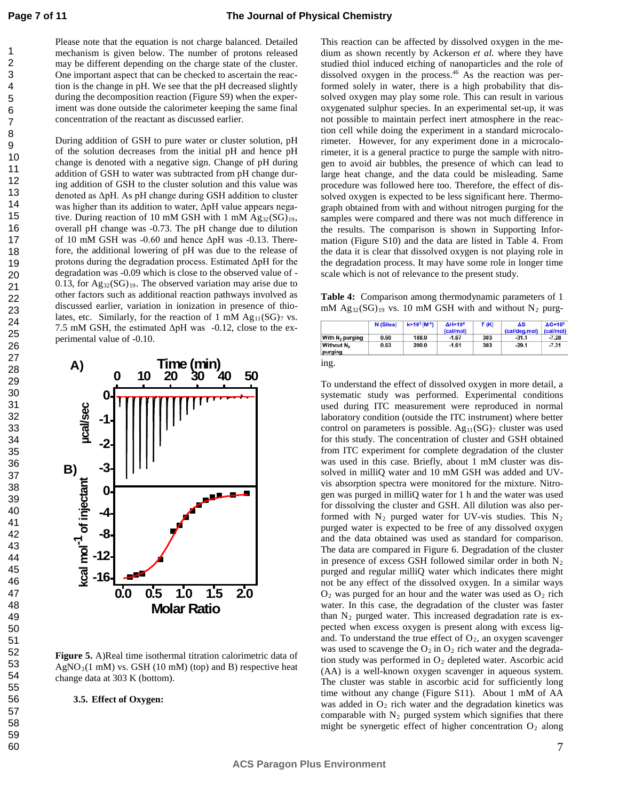Please note that the equation is not charge balanced. Detailed mechanism is given below. The number of protons released may be different depending on the charge state of the cluster. One important aspect that can be checked to ascertain the reaction is the change in pH. We see that the pH decreased slightly during the decomposition reaction (Figure S9) when the experiment was done outside the calorimeter keeping the same final concentration of the reactant as discussed earlier.

During addition of GSH to pure water or cluster solution, pH of the solution decreases from the initial pH and hence pH change is denoted with a negative sign. Change of pH during addition of GSH to water was subtracted from pH change during addition of GSH to the cluster solution and this value was denoted as ΔpH. As pH change during GSH addition to cluster was higher than its addition to water, ΔpH value appears negative. During reaction of 10 mM GSH with 1 mM  $Ag_{32}(SG)_{19}$ , overall pH change was -0.73. The pH change due to dilution of 10 mM GSH was -0.60 and hence ΔpH was -0.13. Therefore, the additional lowering of pH was due to the release of protons during the degradation process. Estimated ΔpH for the degradation was -0.09 which is close to the observed value of - 0.13, for  $Ag_{32}(SG)_{19}$ . The observed variation may arise due to other factors such as additional reaction pathways involved as discussed earlier, variation in ionization in presence of thiolates, etc. Similarly, for the reaction of 1 mM  $Ag_{11}(SG)$ <sub>7</sub> vs. 7.5 mM GSH, the estimated ΔpH was -0.12, close to the experimental value of -0.10.



**Figure 5.** A)Real time isothermal titration calorimetric data of  $AgNO<sub>3</sub>(1$  mM) vs. GSH (10 mM) (top) and B) respective heat change data at 303 K (bottom).

#### **3.5. Effect of Oxygen:**

This reaction can be affected by dissolved oxygen in the medium as shown recently by Ackerson *et al.* where they have studied thiol induced etching of nanoparticles and the role of dissolved oxygen in the process. [46](#page-11-10) As the reaction was performed solely in water, there is a high probability that dissolved oxygen may play some role. This can result in various oxygenated sulphur species. In an experimental set-up, it was not possible to maintain perfect inert atmosphere in the reaction cell while doing the experiment in a standard microcalorimeter. However, for any experiment done in a microcalorimeter, it is a general practice to purge the sample with nitrogen to avoid air bubbles, the presence of which can lead to large heat change, and the data could be misleading. Same procedure was followed here too. Therefore, the effect of dissolved oxygen is expected to be less significant here. Thermograph obtained from with and without nitrogen purging for the samples were compared and there was not much difference in the results. The comparison is shown in Supporting Information (Figure S10) and the data are listed in Table 4. From the data it is clear that dissolved oxygen is not playing role in the degradation process. It may have some role in longer time scale which is not of relevance to the present study.

**Table 4:** Comparison among thermodynamic parameters of 1 mM  $Ag_{32}(SG)_{19}$  vs. 10 mM GSH with and without N<sub>2</sub> purg-

|                                   | N (Sites) | k×10 <sup>3</sup> (M <sup>-1</sup> ) | $\Delta H \times 10^4$<br>(cal/mol) | T (K) | ΔS<br>(cal/deg.mol) | $\Delta$ G×10 <sup>3</sup><br>(cal/mol) |
|-----------------------------------|-----------|--------------------------------------|-------------------------------------|-------|---------------------|-----------------------------------------|
| With N <sub>2</sub> purging       | 0.60      | 188.0                                | $-1.67$                             | 303   | $-31.1$             | $-7.28$                                 |
| Without N <sub>2</sub><br>purging | 0.63      | 200.0                                | $-1.61$                             | 303   | $-29.1$             | $-7.31$                                 |
| ing.                              |           |                                      |                                     |       |                     |                                         |

To understand the effect of dissolved oxygen in more detail, a systematic study was performed. Experimental conditions used during ITC measurement were reproduced in normal laboratory condition (outside the ITC instrument) where better control on parameters is possible. Ag<sub>11</sub>(SG)<sub>7</sub> cluster was used for this study. The concentration of cluster and GSH obtained from ITC experiment for complete degradation of the cluster was used in this case. Briefly, about 1 mM cluster was dissolved in milliQ water and 10 mM GSH was added and UVvis absorption spectra were monitored for the mixture. Nitrogen was purged in milliQ water for 1 h and the water was used for dissolving the cluster and GSH. All dilution was also performed with  $N_2$  purged water for UV-vis studies. This  $N_2$ purged water is expected to be free of any dissolved oxygen and the data obtained was used as standard for comparison. The data are compared in Figure 6. Degradation of the cluster in presence of excess GSH followed similar order in both  $N_2$ purged and regular milliQ water which indicates there might not be any effect of the dissolved oxygen. In a similar ways  $O<sub>2</sub>$  was purged for an hour and the water was used as  $O<sub>2</sub>$  rich water. In this case, the degradation of the cluster was faster than  $N_2$  purged water. This increased degradation rate is expected when excess oxygen is present along with excess ligand. To understand the true effect of  $O_2$ , an oxygen scavenger was used to scavenge the  $O_2$  in  $O_2$  rich water and the degradation study was performed in  $O_2$  depleted water. Ascorbic acid (AA) is a well-known oxygen scavenger in aqueous system. The cluster was stable in ascorbic acid for sufficiently long time without any change (Figure S11). About 1 mM of AA was added in  $O<sub>2</sub>$  rich water and the degradation kinetics was comparable with  $N_2$  purged system which signifies that there might be synergetic effect of higher concentration  $O_2$  along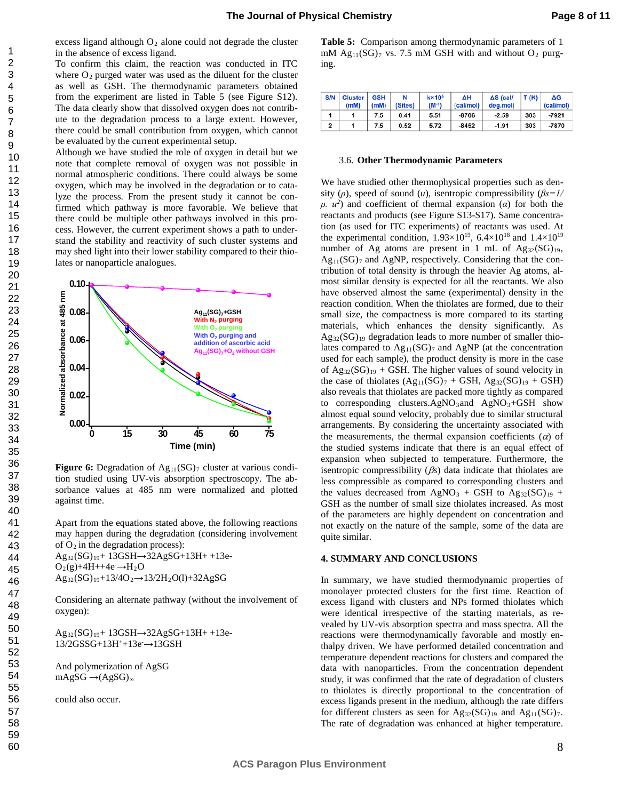excess ligand although  $O_2$  alone could not degrade the cluster in the absence of excess ligand.

To confirm this claim, the reaction was conducted in ITC where  $O_2$  purged water was used as the diluent for the cluster as well as GSH. The thermodynamic parameters obtained from the experiment are listed in Table 5 (see Figure S12). The data clearly show that dissolved oxygen does not contribute to the degradation process to a large extent. However, there could be small contribution from oxygen, which cannot be evaluated by the current experimental setup.

Although we have studied the role of oxygen in detail but we note that complete removal of oxygen was not possible in normal atmospheric conditions. There could always be some oxygen, which may be involved in the degradation or to catalyze the process. From the present study it cannot be confirmed which pathway is more favorable. We believe that there could be multiple other pathways involved in this process. However, the current experiment shows a path to understand the stability and reactivity of such cluster systems and may shed light into their lower stability compared to their thiolates or nanoparticle analogues.



**Figure 6:** Degradation of Ag<sub>11</sub>(SG)<sub>7</sub> cluster at various condition studied using UV-vis absorption spectroscopy. The absorbance values at 485 nm were normalized and plotted against time.

Apart from the equations stated above, the following reactions may happen during the degradation (considering involvement of  $O_2$  in the degradation process):

Ag32(SG)19+ 13GSH→32AgSG+13H+ +13e- $O_2(g) + 4H + 4e^- \rightarrow H_2O$  $Ag_{32}(SG)_{19}+13/4O_2 \rightarrow 13/2H_2O(l)+32AgSG$ 

Considering an alternate pathway (without the involvement of oxygen):

Ag32(SG)19+ 13GSH→32AgSG+13H+ +13e- $13/2GSSG+13H^+ + 13e \rightarrow 13GSH$ 

And polymerization of AgSG mAgSG →(AgSG)<sup>∞</sup>

could also occur.

**Table 5:** Comparison among thermodynamic parameters of 1 mM  $Ag_{11}(SG)$ <sub>7</sub> vs. 7.5 mM GSH with and without  $O_2$  purging.

| S/N | <b>Cluster</b><br>(mM) | <b>GSH</b><br>(mM) | N<br>(Sites) | $k \times 10^5$<br>$(M^{-1})$ | ΔН<br>(cal/mol) | $\Delta S$ (cal/<br>deg.mol) | T(K) | ΔG<br>(cal/mol) |
|-----|------------------------|--------------------|--------------|-------------------------------|-----------------|------------------------------|------|-----------------|
|     |                        | 7.5                | 0.41         | 5.51                          | $-8706$         | $-2.59$                      | 303  | -7921           |
| 2   |                        | 7.5                | 0.52         | 5.72                          | $-8452$         | $-1.91$                      | 303  | $-7870$         |

#### 3.6. **Other Thermodynamic Parameters**

We have studied other thermophysical properties such as density (*ρ*), speed of sound (*u*), isentropic compressibility (*βs=1/ ρ. u<sup>2</sup>* ) and coefficient of thermal expansion (*α*) for both the reactants and products (see Figure S13-S17). Same concentration (as used for ITC experiments) of reactants was used. At the experimental condition,  $1.93\times10^{19}$ ,  $6.4\times10^{18}$  and  $1.4\times10^{19}$ number of Ag atoms are present in 1 mL of  $Ag_{32}(SG)_{19}$ ,  $Ag_{11}(SG)$ <sub>7</sub> and AgNP, respectively. Considering that the contribution of total density is through the heavier Ag atoms, almost similar density is expected for all the reactants. We also have observed almost the same (experimental) density in the reaction condition. When the thiolates are formed, due to their small size, the compactness is more compared to its starting materials, which enhances the density significantly. As  $Ag_{32}(SG)_{19}$  degradation leads to more number of smaller thiolates compared to  $Ag_{11}(SG)$ <sub>7</sub> and AgNP (at the concentration used for each sample), the product density is more in the case of  $Ag_{32}(SG)_{19} + GSH$ . The higher values of sound velocity in the case of thiolates  $(Ag_{11}(SG)_7 + GSH, Ag_{32}(SG)_{19} + GSH)$ also reveals that thiolates are packed more tightly as compared to corresponding clusters.AgNO<sub>3</sub>and AgNO<sub>3</sub>+GSH show almost equal sound velocity, probably due to similar structural arrangements. By considering the uncertainty associated with the measurements, the thermal expansion coefficients  $(\alpha)$  of the studied systems indicate that there is an equal effect of expansion when subjected to temperature. Furthermore, the isentropic compressibility (β*s*) data indicate that thiolates are less compressible as compared to corresponding clusters and the values decreased from  $AgNO_3 + GSH$  to  $Ag_{32}(SG)_{19}$  + GSH as the number of small size thiolates increased. As most of the parameters are highly dependent on concentration and not exactly on the nature of the sample, some of the data are quite similar.

#### **4. SUMMARY AND CONCLUSIONS**

In summary, we have studied thermodynamic properties of monolayer protected clusters for the first time. Reaction of excess ligand with clusters and NPs formed thiolates which were identical irrespective of the starting materials, as revealed by UV-vis absorption spectra and mass spectra. All the reactions were thermodynamically favorable and mostly enthalpy driven. We have performed detailed concentration and temperature dependent reactions for clusters and compared the data with nanoparticles. From the concentration dependent study, it was confirmed that the rate of degradation of clusters to thiolates is directly proportional to the concentration of excess ligands present in the medium, although the rate differs for different clusters as seen for  $Ag_{32}(SG)_{19}$  and  $Ag_{11}(SG)_{7}$ . The rate of degradation was enhanced at higher temperature.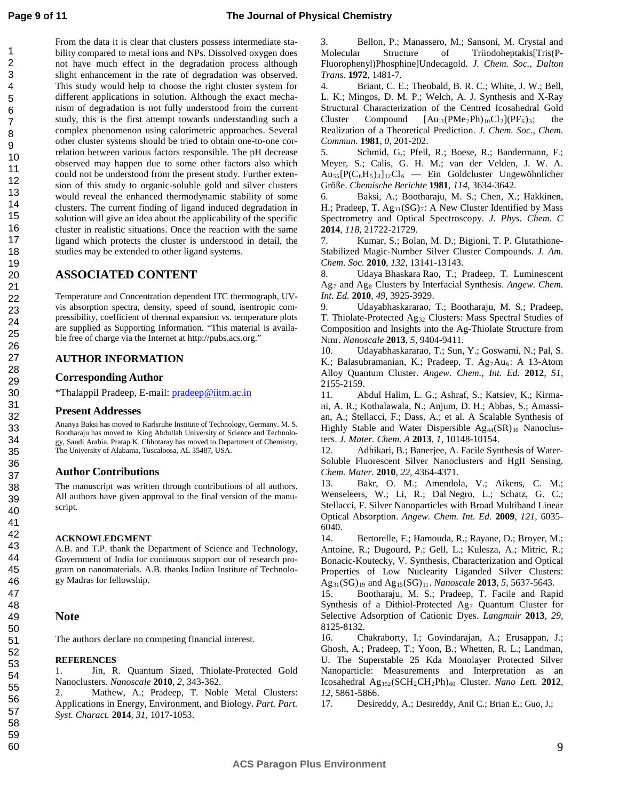From the data it is clear that clusters possess intermediate stability compared to metal ions and NPs. Dissolved oxygen does not have much effect in the degradation process although slight enhancement in the rate of degradation was observed. This study would help to choose the right cluster system for different applications in solution. Although the exact mechanism of degradation is not fully understood from the current study, this is the first attempt towards understanding such a complex phenomenon using calorimetric approaches. Several other cluster systems should be tried to obtain one-to-one correlation between various factors responsible. The pH decrease observed may happen due to some other factors also which could not be understood from the present study. Further extension of this study to organic-soluble gold and silver clusters would reveal the enhanced thermodynamic stability of some clusters. The current finding of ligand induced degradation in solution will give an idea about the applicability of the specific cluster in realistic situations. Once the reaction with the same ligand which protects the cluster is understood in detail, the studies may be extended to other ligand systems.

#### **ASSOCIATED CONTENT**

Temperature and Concentration dependent ITC thermograph, UVvis absorption spectra, density, speed of sound, isentropic compressibility, coefficient of thermal expansion vs. temperature plots are supplied as Supporting Information. "This material is available free of charge via the Internet at http://pubs.acs.org."

#### **AUTHOR INFORMATION**

#### **Corresponding Author**

\*Thalappil Pradeep, E-mail: [pradeep@iitm.ac.in](mailto:pradeep@iitm.ac.in)

#### **Present Addresses**

Ananya Baksi has moved to Karlsruhe Institute of Technology, Germany. M. S. Bootharaju has moved t[o King Abdullah University of Science and Technolo](https://www.kaust.edu.sa/)[gy,](https://www.kaust.edu.sa/) Saudi Arabia. Pratap K. Chhotaray has moved to Department of Chemistry, The University of Alabama, Tuscaloosa, AL 35487, USA.

#### **Author Contributions**

The manuscript was written through contributions of all authors. All authors have given approval to the final version of the manuscript.

#### **ACKNOWLEDGMENT**

A.B. and T.P. thank the Department of Science and Technology, Government of India for continuous support our of research program on nanomaterials. A.B. thanks Indian Institute of Technology Madras for fellowship.

#### **Note**

The authors declare no competing financial interest.

#### **REFERENCES**

<span id="page-10-0"></span>1. Jin, R. Quantum Sized, Thiolate-Protected Gold Nanoclusters. *Nanoscale* **2010**, *2*, 343-362.

Mathew, A.; Pradeep, T. Noble Metal Clusters: Applications in Energy, Environment, and Biology. *Part. Part. Syst. Charact.* **2014**, *31*, 1017-1053.

<span id="page-10-1"></span>3. Bellon, P.; Manassero, M.; Sansoni, M. Crystal and Molecular Structure of Triiodoheptakis[Tris(P-Fluorophenyl)Phosphine]Undecagold. *J. Chem. Soc., Dalton Trans.* **1972**, 1481-7.

4. Briant, C. E.; Theobald, B. R. C.; White, J. W.; Bell, L. K.; Mingos, D. M. P.; Welch, A. J. Synthesis and X-Ray Structural Characterization of the Centred Icosahedral Gold Cluster Compound  $[Au_{13}(PMe_2Ph)_{10}Cl_2](PF_6)_{3}$ ; the Realization of a Theoretical Prediction. *J. Chem. Soc., Chem. Commun.* **1981**, *0*, 201-202.

5. Schmid, G.; Pfeil, R.; Boese, R.; Bandermann, F.; Meyer, S.; Calis, G. H. M.; van der Velden, J. W. A.  $Au_{55}[P(C_6H_5)_3]_{12}Cl_6$  — Ein Goldcluster Ungewöhnlicher Größe. *Chemische Berichte* **1981**, *114*, 3634-3642.

<span id="page-10-2"></span>6. Baksi, A.; Bootharaju, M. S.; Chen, X.; Hakkinen, H.; Pradeep, T.  $Ag_{11}(SG)_7$ : A New Cluster Identified by Mass Spectrometry and Optical Spectroscopy. *J. Phys. Chem. C*  **2014**, *118*, 21722-21729.

7. Kumar, S.; Bolan, M. D.; Bigioni, T. P. Glutathione-Stabilized Magic-Number Silver Cluster Compounds. *J. Am. Chem. Soc.* **2010**, *132*, 13141-13143.

<span id="page-10-6"></span>8. Udaya Bhaskara Rao, T.; Pradeep, T. Luminescent Ag7 and Ag8 Clusters by Interfacial Synthesis. *Angew. Chem. Int. Ed.* **2010**, *49*, 3925-3929.

<span id="page-10-8"></span>9. Udayabhaskararao, T.; Bootharaju, M. S.; Pradeep, T. Thiolate-Protected Ag<sub>32</sub> Clusters: Mass Spectral Studies of Composition and Insights into the Ag-Thiolate Structure from Nmr. *Nanoscale* **2013**, *5*, 9404-9411.

<span id="page-10-5"></span>10. Udayabhaskararao, T.; Sun, Y.; Goswami, N.; Pal, S. K.; Balasubramanian, K.; Pradeep, T. Ag7Au<sub>6</sub>: A 13-Atom Alloy Quantum Cluster. *Angew. Chem., Int. Ed.* **2012**, *51*, 2155-2159.

<span id="page-10-3"></span>11. Abdul Halim, L. G.; Ashraf, S.; Katsiev, K.; Kirmani, A. R.; Kothalawala, N.; Anjum, D. H.; Abbas, S.; Amassian, A.; Stellacci, F.; Dass, A.; et al. A Scalable Synthesis of Highly Stable and Water Dispersible  $Ag_{44}(SR)_{30}$  Nanoclusters. *J. Mater. Chem. A* **2013**, *1*, 10148-10154.

12. Adhikari, B.; Banerjee, A. Facile Synthesis of Water-Soluble Fluorescent Silver Nanoclusters and HgII Sensing. *Chem. Mater.* **2010**, *22*, 4364-4371.

13. Bakr, O. M.; Amendola, V.; Aikens, C. M.; Wenseleers, W.; Li, R.; Dal Negro, L.; Schatz, G. C.; Stellacci, F. Silver Nanoparticles with Broad Multiband Linear Optical Absorption. *Angew. Chem. Int. Ed.* **2009**, *121*, 6035- 6040.

<span id="page-10-7"></span>14. Bertorelle, F.; Hamouda, R.; Rayane, D.; Broyer, M.; Antoine, R.; Dugourd, P.; Gell, L.; Kulesza, A.; Mitric, R.; Bonacic-Koutecky, V. Synthesis, Characterization and Optical Properties of Low Nuclearity Liganded Silver Clusters: Ag31(SG)19 and Ag15(SG)11. *Nanoscale* **2013**, *5*, 5637-5643.

15. Bootharaju, M. S.; Pradeep, T. Facile and Rapid Synthesis of a Dithiol-Protected Ag<sub>7</sub> Quantum Cluster for Selective Adsorption of Cationic Dyes. *Langmuir* **2013**, *29*, 8125-8132.

16. Chakraborty, I.; Govindarajan, A.; Erusappan, J.; Ghosh, A.; Pradeep, T.; Yoon, B.; Whetten, R. L.; Landman, U. The Superstable 25 Kda Monolayer Protected Silver Nanoparticle: Measurements and Interpretation as an Icosahedral Ag152(SCH2CH2Ph)60 Cluster. *Nano Lett.* **2012**, *12*, 5861-5866.

<span id="page-10-4"></span>17. Desireddy, A.; Desireddy, Anil C.; Brian E.; Guo, J.;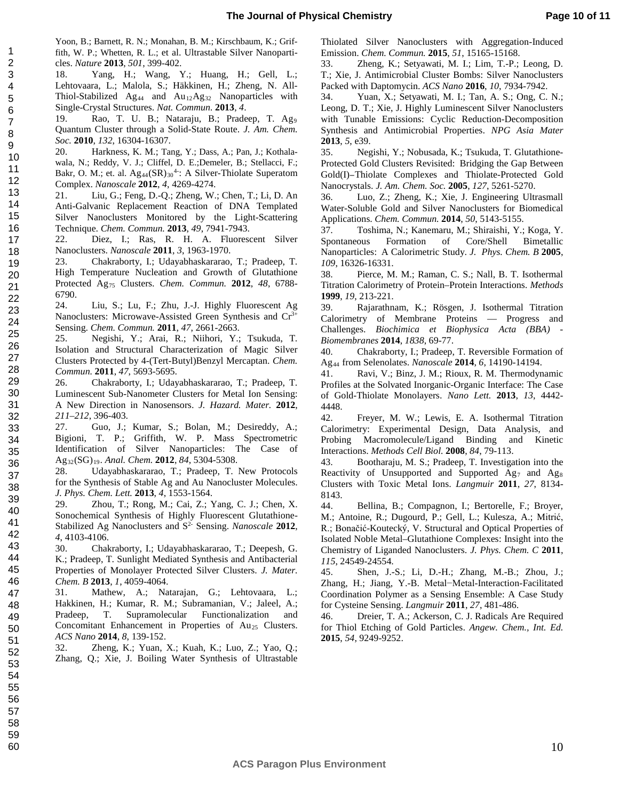Yoon, B.; Barnett, R. N.; Monahan, B. M.; Kirschbaum, K.; Griffith, W. P.; Whetten, R. L.; et al. Ultrastable Silver Nanoparticles. *Nature* **2013**, *501*, 399-402.

18. Yang, H.; Wang, Y.; Huang, H.; Gell, L.; Lehtovaara, L.; Malola, S.; Häkkinen, H.; Zheng, N. All-Thiol-Stabilized  $Ag_{44}$  and  $Au_{12}Ag_{32}$  Nanoparticles with Single-Crystal Structures. *Nat. Commun.* **2013**, *4*.

<span id="page-11-0"></span>19. Rao, T. U. B.; Nataraju, B.; Pradeep, T. Ag9 Quantum Cluster through a Solid-State Route. *J. Am. Chem. Soc.* **2010**, *132*, 16304-16307.

20. Harkness, K. M.; Tang, Y.; Dass, A.; Pan, J.; Kothalawala, N.; Reddy, V. J.; Cliffel, D. E.;Demeler, B.; Stellacci, F.; Bakr, O. M.; et. al.  $Ag_{44}(SR)_{30}^{4}$ : A Silver-Thiolate Superatom Complex. *Nanoscale* **2012**, *4*, 4269-4274.

21. Liu, G.; Feng, D.-Q.; Zheng, W.; Chen, T.; Li, D. An Anti-Galvanic Replacement Reaction of DNA Templated Silver Nanoclusters Monitored by the Light-Scattering Technique. *Chem. Commun.* **2013**, *49*, 7941-7943.

22. Diez, I.; Ras, R. H. A. Fluorescent Silver Nanoclusters. *Nanoscale* **2011**, *3*, 1963-1970.

23. Chakraborty, I.; Udayabhaskararao, T.; Pradeep, T. High Temperature Nucleation and Growth of Glutathione Protected Ag75 Clusters. *Chem. Commun.* **2012**, *48*, 6788- 6790.

24. Liu, S.; Lu, F.; Zhu, J.-J. Highly Fluorescent Ag Nanoclusters: Microwave-Assisted Green Synthesis and Cr<sup>3+</sup> Sensing. *Chem. Commun.* **2011**, *47*, 2661-2663.

25. Negishi, Y.; Arai, R.; Niihori, Y.; Tsukuda, T. Isolation and Structural Characterization of Magic Silver Clusters Protected by 4-(Tert-Butyl)Benzyl Mercaptan. *Chem. Commun.* **2011**, *47*, 5693-5695.

26. Chakraborty, I.; Udayabhaskararao, T.; Pradeep, T. Luminescent Sub-Nanometer Clusters for Metal Ion Sensing: A New Direction in Nanosensors. *J. Hazard. Mater.* **2012**, *211–212*, 396-403.

27. Guo, J.; Kumar, S.; Bolan, M.; Desireddy, A.; Bigioni, T. P.; Griffith, W. P. Mass Spectrometric Identification of Silver Nanoparticles: The Case of Ag32(SG)19. *Anal. Chem.* **2012**, *84*, 5304-5308.

<span id="page-11-1"></span>28. Udayabhaskararao, T.; Pradeep, T. New Protocols for the Synthesis of Stable Ag and Au Nanocluster Molecules. *J. Phys. Chem. Lett.* **2013**, *4*, 1553-1564.

29. Zhou, T.; Rong, M.; Cai, Z.; Yang, C. J.; Chen, X. Sonochemical Synthesis of Highly Fluorescent Glutathione-Stabilized Ag Nanoclusters and S<sup>2-</sup> Sensing. *Nanoscale* 2012, *4*, 4103-4106.

30. Chakraborty, I.; Udayabhaskararao, T.; Deepesh, G. K.; Pradeep, T. Sunlight Mediated Synthesis and Antibacterial Properties of Monolayer Protected Silver Clusters. *J. Mater. Chem. B* **2013**, *1*, 4059-4064.

31. Mathew, A.; Natarajan, G.; Lehtovaara, L.; Hakkinen, H.; Kumar, R. M.; Subramanian, V.; Jaleel, A.; Pradeep, T. Supramolecular Functionalization and Concomitant Enhancement in Properties of Au<sub>25</sub> Clusters. *ACS Nano* **2014**, *8*, 139-152.

<span id="page-11-2"></span>32. Zheng, K.; Yuan, X.; Kuah, K.; Luo, Z.; Yao, Q.; Zhang, Q.; Xie, J. Boiling Water Synthesis of Ultrastable Thiolated Silver Nanoclusters with Aggregation-Induced Emission. *Chem. Commun.* **2015**, *51*, 15165-15168.

33. Zheng, K.; Setyawati, M. I.; Lim, T.-P.; Leong, D. T.; Xie, J. Antimicrobial Cluster Bombs: Silver Nanoclusters Packed with Daptomycin. *ACS Nano* **2016**, *10*, 7934-7942.

34. Yuan, X.; Setyawati, M. I.; Tan, A. S.; Ong, C. N.; Leong, D. T.; Xie, J. Highly Luminescent Silver Nanoclusters with Tunable Emissions: Cyclic Reduction-Decomposition Synthesis and Antimicrobial Properties. *NPG Asia Mater*  **2013**, *5*, e39.

35. Negishi, Y.; Nobusada, K.; Tsukuda, T. Glutathione-Protected Gold Clusters Revisited: Bridging the Gap Between Gold(I)−Thiolate Complexes and Thiolate-Protected Gold Nanocrystals. *J. Am. Chem. Soc.* **2005**, *127*, 5261-5270.

36. Luo, Z.; Zheng, K.; Xie, J. Engineering Ultrasmall Water-Soluble Gold and Silver Nanoclusters for Biomedical Applications. *Chem. Commun.* **2014**, *50*, 5143-5155.

<span id="page-11-3"></span>37. Toshima, N.; Kanemaru, M.; Shiraishi, Y.; Koga, Y. Spontaneous Formation of Core/Shell Bimetallic Nanoparticles: A Calorimetric Study. *J. Phys. Chem. B* **2005**, *109*, 16326-16331.

<span id="page-11-4"></span>38. Pierce, M. M.; Raman, C. S.; Nall, B. T. Isothermal Titration Calorimetry of Protein–Protein Interactions. *Methods*  **1999**, *19*, 213-221.

39. Rajarathnam, K.; Rösgen, J. Isothermal Titration Calorimetry of Membrane Proteins — Progress and Challenges. *Biochimica et Biophysica Acta (BBA) - Biomembranes* **2014**, *1838*, 69-77.

<span id="page-11-5"></span>40. Chakraborty, I.; Pradeep, T. Reversible Formation of Ag44 from Selenolates. *Nanoscale* **2014**, *6*, 14190-14194.

<span id="page-11-6"></span>41. Ravi, V.; Binz, J. M.; Rioux, R. M. Thermodynamic Profiles at the Solvated Inorganic-Organic Interface: The Case of Gold-Thiolate Monolayers. *Nano Lett.* **2013**, *13*, 4442- 4448.

42. Freyer, M. W.; Lewis, E. A. Isothermal Titration Calorimetry: Experimental Design, Data Analysis, and Probing Macromolecule/Ligand Binding and Kinetic Interactions. *Methods Cell Biol.* **2008**, *84*, 79-113.

<span id="page-11-7"></span>43. Bootharaju, M. S.; Pradeep, T. Investigation into the Reactivity of Unsupported and Supported Ag<sub>7</sub> and Ag<sub>8</sub> Clusters with Toxic Metal Ions. *Langmuir* **2011**, *27*, 8134- 8143.

<span id="page-11-8"></span>44. Bellina, B.; Compagnon, I.; Bertorelle, F.; Broyer, M.; Antoine, R.; Dugourd, P.; Gell, L.; Kulesza, A.; Mitrić, R.; Bonačić-Koutecký, V. Structural and Optical Properties of Isolated Noble Metal–Glutathione Complexes: Insight into the Chemistry of Liganded Nanoclusters. *J. Phys. Chem. C* **2011**, *115*, 24549-24554.

<span id="page-11-9"></span>45. Shen, J.-S.; Li, D.-H.; Zhang, M.-B.; Zhou, J.; Zhang, H.; Jiang, Y.-B. Metal−Metal-Interaction-Facilitated Coordination Polymer as a Sensing Ensemble: A Case Study for Cysteine Sensing. *Langmuir* **2011**, *27*, 481-486.

<span id="page-11-10"></span>46. Dreier, T. A.; Ackerson, C. J. Radicals Are Required for Thiol Etching of Gold Particles. *Angew. Chem., Int. Ed.*  **2015**, *54*, 9249-9252.